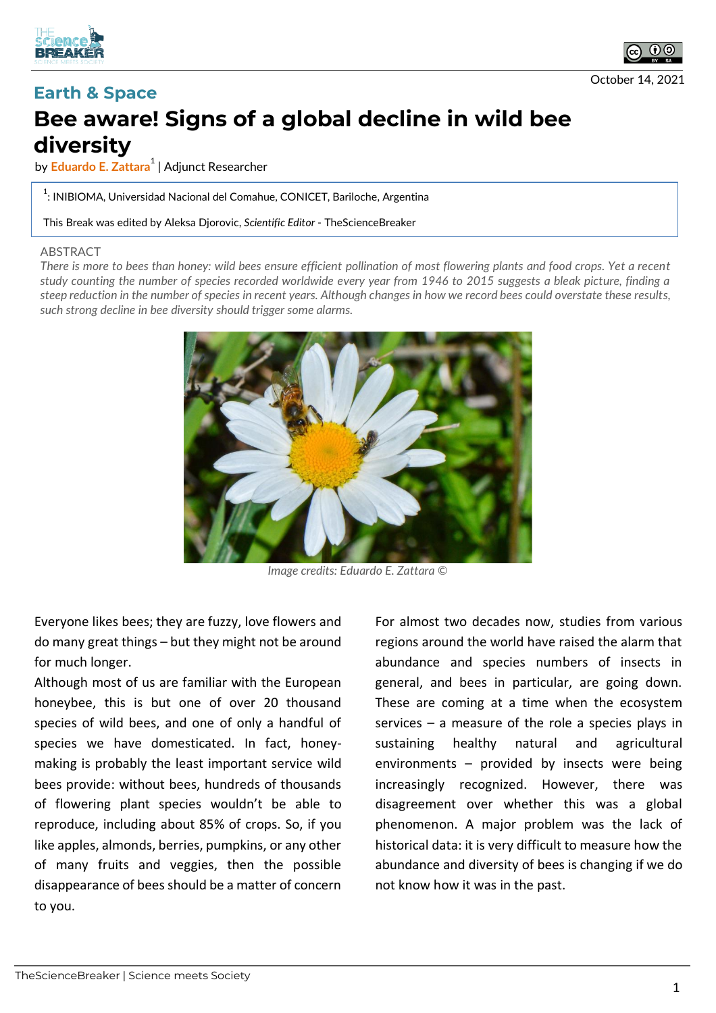



## **Earth & Space Bee aware! Signs of a global decline in wild bee diversity**

by **Eduardo E. Zattara<sup>1</sup>** | Adjunct Researcher

 $^{\rm 1}$ : INIBIOMA, Universidad Nacional del Comahue, CONICET, Bariloche, Argentina

This Break was edited by Aleksa Djorovic, *Scientific Editor* - TheScienceBreaker

## ABSTRACT

*There is more to bees than honey: wild bees ensure efficient pollination of most flowering plants and food crops. Yet a recent study counting the number of species recorded worldwide every year from 1946 to 2015 suggests a bleak picture, finding a steep reduction in the number of species in recent years. Although changes in how we record bees could overstate these results, such strong decline in bee diversity should trigger some alarms.*



*Image credits: Eduardo E. Zattara ©*

Everyone likes bees; they are fuzzy, love flowers and do many great things – but they might not be around for much longer.

Although most of us are familiar with the European honeybee, this is but one of over 20 thousand species of wild bees, and one of only a handful of species we have domesticated. In fact, honeymaking is probably the least important service wild bees provide: without bees, hundreds of thousands of flowering plant species wouldn't be able to reproduce, including about 85% of crops. So, if you like apples, almonds, berries, pumpkins, or any other of many fruits and veggies, then the possible disappearance of bees should be a matter of concern to you.

For almost two decades now, studies from various regions around the world have raised the alarm that abundance and species numbers of insects in general, and bees in particular, are going down. These are coming at a time when the ecosystem services – a measure of the role a species plays in sustaining healthy natural and agricultural environments – provided by insects were being increasingly recognized. However, there was disagreement over whether this was a global phenomenon. A major problem was the lack of historical data: it is very difficult to measure how the abundance and diversity of bees is changing if we do not know how it was in the past.